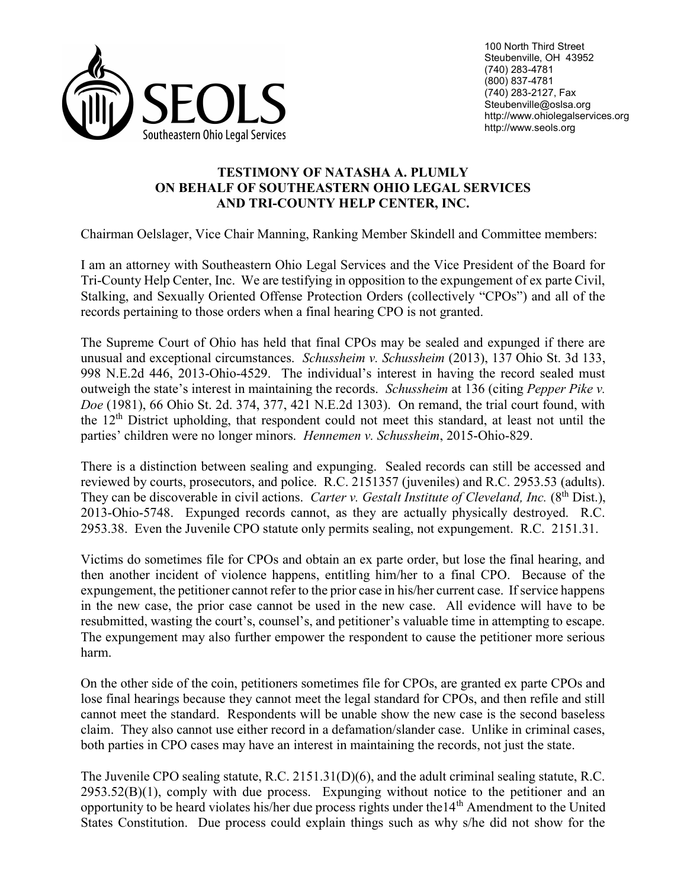

## TESTIMONY OF NATASHA A. PLUMLY ON BEHALF OF SOUTHEASTERN OHIO LEGAL SERVICES AND TRI-COUNTY HELP CENTER, INC.

Chairman Oelslager, Vice Chair Manning, Ranking Member Skindell and Committee members:

I am an attorney with Southeastern Ohio Legal Services and the Vice President of the Board for Tri-County Help Center, Inc. We are testifying in opposition to the expungement of ex parte Civil, Stalking, and Sexually Oriented Offense Protection Orders (collectively "CPOs") and all of the records pertaining to those orders when a final hearing CPO is not granted.

The Supreme Court of Ohio has held that final CPOs may be sealed and expunged if there are unusual and exceptional circumstances. Schussheim v. Schussheim (2013), 137 Ohio St. 3d 133, 998 N.E.2d 446, 2013-Ohio-4529. The individual's interest in having the record sealed must outweigh the state's interest in maintaining the records. Schussheim at 136 (citing Pepper Pike v. Doe (1981), 66 Ohio St. 2d. 374, 377, 421 N.E.2d 1303). On remand, the trial court found, with the 12th District upholding, that respondent could not meet this standard, at least not until the parties' children were no longer minors. Hennemen v. Schussheim, 2015-Ohio-829.

There is a distinction between sealing and expunging. Sealed records can still be accessed and reviewed by courts, prosecutors, and police. R.C. 2151357 (juveniles) and R.C. 2953.53 (adults). They can be discoverable in civil actions. Carter v. Gestalt Institute of Cleveland, Inc. (8<sup>th</sup> Dist.), 2013-Ohio-5748. Expunged records cannot, as they are actually physically destroyed. R.C. 2953.38. Even the Juvenile CPO statute only permits sealing, not expungement. R.C. 2151.31.

Victims do sometimes file for CPOs and obtain an ex parte order, but lose the final hearing, and then another incident of violence happens, entitling him/her to a final CPO. Because of the expungement, the petitioner cannot refer to the prior case in his/her current case. If service happens in the new case, the prior case cannot be used in the new case. All evidence will have to be resubmitted, wasting the court's, counsel's, and petitioner's valuable time in attempting to escape. The expungement may also further empower the respondent to cause the petitioner more serious harm.

On the other side of the coin, petitioners sometimes file for CPOs, are granted ex parte CPOs and lose final hearings because they cannot meet the legal standard for CPOs, and then refile and still cannot meet the standard. Respondents will be unable show the new case is the second baseless claim. They also cannot use either record in a defamation/slander case. Unlike in criminal cases, both parties in CPO cases may have an interest in maintaining the records, not just the state.

The Juvenile CPO sealing statute, R.C. 2151.31(D)(6), and the adult criminal sealing statute, R.C.  $2953.52(B)(1)$ , comply with due process. Expunging without notice to the petitioner and an opportunity to be heard violates his/her due process rights under the14<sup>th</sup> Amendment to the United States Constitution. Due process could explain things such as why s/he did not show for the